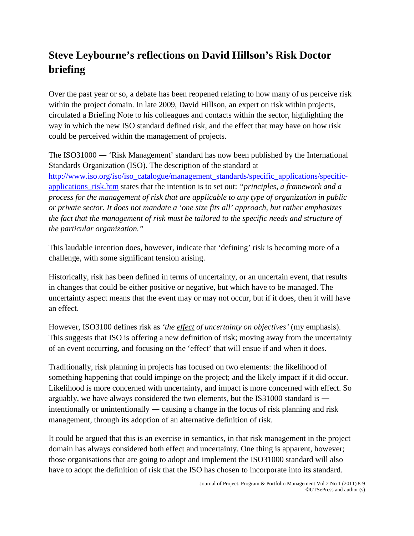## **Steve Leybourne's reflections on David Hillson's Risk Doctor briefing**

Over the past year or so, a debate has been reopened relating to how many of us perceive risk within the project domain. In late 2009, David Hillson, an expert on risk within projects, circulated a Briefing Note to his colleagues and contacts within the sector, highlighting the way in which the new ISO standard defined risk, and the effect that may have on how risk could be perceived within the management of projects.

The ISO31000 ― 'Risk Management' standard has now been published by the International Standards Organization (ISO). The description of the standard at [http://www.iso.org/iso/iso\\_catalogue/management\\_standards/specific\\_applications/specific](http://www.iso.org/iso/iso_catalogue/management_standards/specific_applications/specific-applications_risk.htm)[applications\\_risk.htm](http://www.iso.org/iso/iso_catalogue/management_standards/specific_applications/specific-applications_risk.htm) states that the intention is to set out: *"principles, a framework and a process for the management of risk that are applicable to any type of organization in public or private sector. It does not mandate a 'one size fits all' approach, but rather emphasizes the fact that the management of risk must be tailored to the specific needs and structure of the particular organization."*

This laudable intention does, however, indicate that 'defining' risk is becoming more of a challenge, with some significant tension arising.

Historically, risk has been defined in terms of uncertainty, or an uncertain event, that results in changes that could be either positive or negative, but which have to be managed. The uncertainty aspect means that the event may or may not occur, but if it does, then it will have an effect.

However, ISO3100 defines risk as *'the effect of uncertainty on objectives'* (my emphasis). This suggests that ISO is offering a new definition of risk; moving away from the uncertainty of an event occurring, and focusing on the 'effect' that will ensue if and when it does.

Traditionally, risk planning in projects has focused on two elements: the likelihood of something happening that could impinge on the project; and the likely impact if it did occur. Likelihood is more concerned with uncertainty, and impact is more concerned with effect. So arguably, we have always considered the two elements, but the IS31000 standard is ― intentionally or unintentionally ― causing a change in the focus of risk planning and risk management, through its adoption of an alternative definition of risk.

It could be argued that this is an exercise in semantics, in that risk management in the project domain has always considered both effect and uncertainty. One thing is apparent, however; those organisations that are going to adopt and implement the ISO31000 standard will also have to adopt the definition of risk that the ISO has chosen to incorporate into its standard.